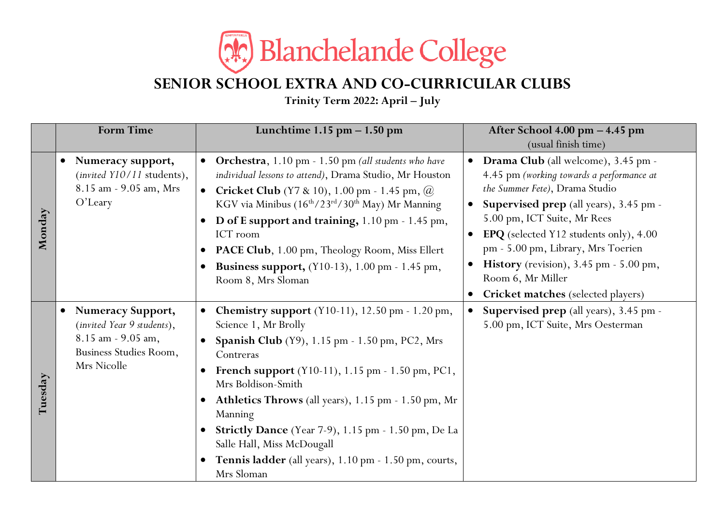

## **SENIOR SCHOOL EXTRA AND CO-CURRICULAR CLUBS**

**Trinity Term 2022: April – July**

|         | <b>Form Time</b>                                                                                                                   | Lunchtime $1.15$ pm $- 1.50$ pm                                                                                                                                                                                                                                                                                                                                                                                                                                                                              | After School 4.00 pm - 4.45 pm                                                                                                                                                                                                                                                                                                                                                                                                     |
|---------|------------------------------------------------------------------------------------------------------------------------------------|--------------------------------------------------------------------------------------------------------------------------------------------------------------------------------------------------------------------------------------------------------------------------------------------------------------------------------------------------------------------------------------------------------------------------------------------------------------------------------------------------------------|------------------------------------------------------------------------------------------------------------------------------------------------------------------------------------------------------------------------------------------------------------------------------------------------------------------------------------------------------------------------------------------------------------------------------------|
| Monday  | Numeracy support,<br>$\bullet$<br>(invited Y10/11 students),<br>8.15 am - 9.05 am, Mrs<br>$O'$ Leary                               | Orchestra, 1.10 pm - 1.50 pm (all students who have<br>$\bullet$<br>individual lessons to attend), Drama Studio, Mr Houston<br><b>Cricket Club</b> (Y7 & 10), 1.00 pm - 1.45 pm, $\omega$<br>$\bullet$<br>KGV via Minibus (16 <sup>th</sup> /23 <sup>rd</sup> /30 <sup>th</sup> May) Mr Manning<br>D of E support and training, 1.10 pm - 1.45 pm,<br>ICT room<br>PACE Club, 1.00 pm, Theology Room, Miss Ellert<br>$\bullet$<br><b>Business support,</b> (Y10-13), 1.00 pm - 1.45 pm,<br>Room 8, Mrs Sloman | (usual finish time)<br>Drama Club (all welcome), 3.45 pm -<br>$\bullet$<br>4.45 pm (working towards a performance at<br>the Summer Fete), Drama Studio<br>Supervised prep (all years), 3.45 pm -<br>5.00 pm, ICT Suite, Mr Rees<br><b>EPQ</b> (selected Y12 students only), 4.00<br>pm - 5.00 pm, Library, Mrs Toerien<br><b>History</b> (revision), 3.45 pm - 5.00 pm,<br>Room 6, Mr Miller<br>Cricket matches (selected players) |
| Tuesday | <b>Numeracy Support,</b><br>$\bullet$<br>(invited Year 9 students),<br>8.15 am - 9.05 am,<br>Business Studies Room,<br>Mrs Nicolle | <b>Chemistry support</b> (Y10-11), 12.50 pm - 1.20 pm,<br>$\bullet$<br>Science 1, Mr Brolly<br>Spanish Club (Y9), 1.15 pm - 1.50 pm, PC2, Mrs<br>Contreras<br>French support (Y10-11), 1.15 pm - 1.50 pm, PC1,<br>Mrs Boldison-Smith<br>Athletics Throws (all years), 1.15 pm - 1.50 pm, Mr<br>$\bullet$<br>Manning<br>• Strictly Dance (Year 7-9), 1.15 pm - 1.50 pm, De La<br>Salle Hall, Miss McDougall<br>Tennis ladder (all years), 1.10 pm - 1.50 pm, courts,<br>$\bullet$<br>Mrs Sloman               | <b>Supervised prep</b> (all years), 3.45 pm -<br>$\bullet$<br>5.00 pm, ICT Suite, Mrs Oesterman                                                                                                                                                                                                                                                                                                                                    |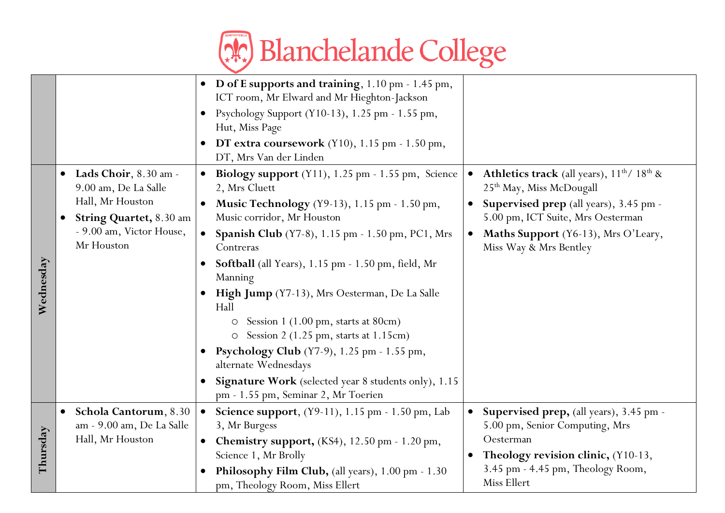

|           |                                                                                                                                                           | D of E supports and training, 1.10 pm - 1.45 pm,<br>$\bullet$<br>ICT room, Mr Elward and Mr Hieghton-Jackson<br>Psychology Support (Y10-13), 1.25 pm - 1.55 pm,<br>$\bullet$<br>Hut, Miss Page                                                                                                                                                                                                                                                                                                                           |                                                                                                                                                                                                 |
|-----------|-----------------------------------------------------------------------------------------------------------------------------------------------------------|--------------------------------------------------------------------------------------------------------------------------------------------------------------------------------------------------------------------------------------------------------------------------------------------------------------------------------------------------------------------------------------------------------------------------------------------------------------------------------------------------------------------------|-------------------------------------------------------------------------------------------------------------------------------------------------------------------------------------------------|
|           |                                                                                                                                                           | DT extra coursework $(Y10)$ , 1.15 pm - 1.50 pm,<br>DT, Mrs Van der Linden                                                                                                                                                                                                                                                                                                                                                                                                                                               |                                                                                                                                                                                                 |
|           | Lads Choir, 8.30 am -<br>$\bullet$<br>9.00 am, De La Salle<br>Hall, Mr Houston<br><b>String Quartet, 8.30 am</b><br>$\bullet$<br>- 9.00 am, Victor House, | <b>Biology support</b> $(Y11)$ , 1.25 pm - 1.55 pm, Science<br>2, Mrs Cluett<br>Music Technology (Y9-13), 1.15 pm - 1.50 pm,<br>$\bullet$<br>Music corridor, Mr Houston                                                                                                                                                                                                                                                                                                                                                  | <b>Athletics track</b> (all years), $11^{th}$ / $18^{th}$ &<br>$\bullet$<br>25 <sup>th</sup> May, Miss McDougall<br>Supervised prep (all years), 3.45 pm -<br>5.00 pm, ICT Suite, Mrs Oesterman |
| Wednesday | Mr Houston                                                                                                                                                | Spanish Club (Y7-8), 1.15 pm - 1.50 pm, PC1, Mrs<br>$\bullet$<br>Contreras<br><b>Softball</b> (all Years), 1.15 pm - 1.50 pm, field, Mr<br>Manning<br>High Jump (Y7-13), Mrs Oesterman, De La Salle<br>$\bullet$<br>Hall<br>Session 1 (1.00 pm, starts at 80cm)<br>O<br>Session $2(1.25 \text{ pm}, \text{starts at } 1.15 \text{ cm})$<br>O<br><b>Psychology Club</b> (Y7-9), 1.25 pm - 1.55 pm,<br>alternate Wednesdays<br>Signature Work (selected year 8 students only), 1.15<br>pm - 1.55 pm, Seminar 2, Mr Toerien | Maths Support (Y6-13), Mrs O'Leary,<br>$\bullet$<br>Miss Way & Mrs Bentley                                                                                                                      |
| Thursday  | Schola Cantorum, 8.30<br>$\bullet$<br>am - 9.00 am, De La Salle<br>Hall, Mr Houston                                                                       | Science support, (Y9-11), 1.15 pm - 1.50 pm, Lab<br>$\bullet$<br>3, Mr Burgess<br>Chemistry support, (KS4), 12.50 pm - 1.20 pm,<br>$\bullet$<br>Science 1, Mr Brolly<br>Philosophy Film Club, (all years), 1.00 pm - 1.30<br>pm, Theology Room, Miss Ellert                                                                                                                                                                                                                                                              | Supervised prep, (all years), 3.45 pm -<br>$\bullet$<br>5.00 pm, Senior Computing, Mrs<br>Oesterman<br>Theology revision clinic, (Y10-13,<br>3.45 pm - 4.45 pm, Theology Room,<br>Miss Ellert   |